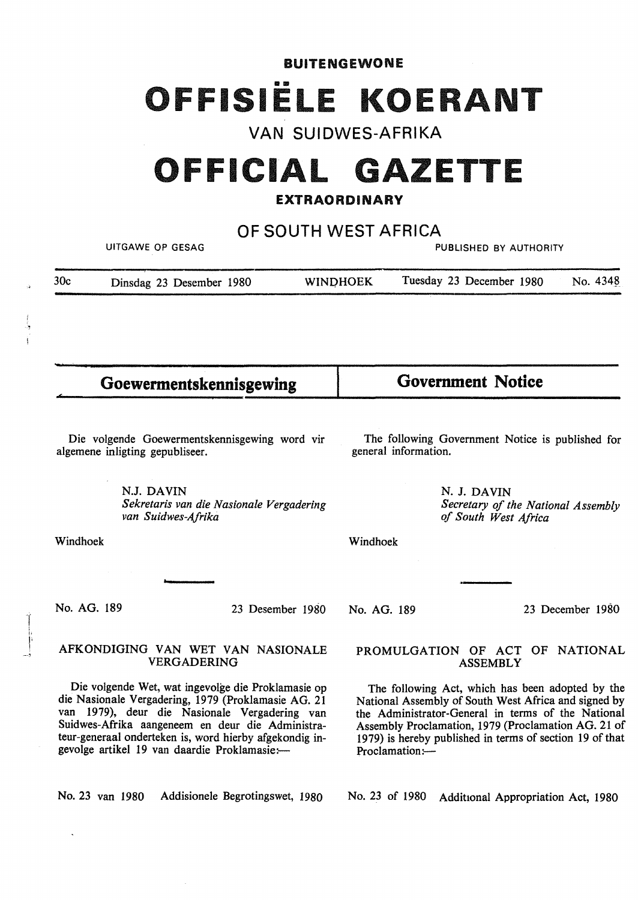BUITENGEWONE OFFISIËLE KOERANT

**VAN SUIDWES-AFRIKA** 

# **OFFICIAL GAZETTE**

# **EXTRAORDINARY**

**OF SOUTH WEST AFRICA** 

UITGAWE OP GESAG PUBLISHED BY AUTHORITY

| 30c | Dinsdag 23 Desember 1980 | <b>WINDHOEK</b> | Tuesday 23 December 1980 | No. 4348 |
|-----|--------------------------|-----------------|--------------------------|----------|
|     |                          |                 |                          |          |

Goewermentskennisgewing **Government Notice** 

Die volgende Goewermentskennisgewing word vir algemene inligting gepubliseer.

The following Government Notice is published for general information.

*of South West Africa* 

*Secretary of the National Assembly* 

N. J. DAVIN

**N.J. DAVIN**  *Sekretaris van die Nasionale Vergadering van Suidwes-Afrika* 

Windhoek

Windhoek

No. AG. 189

,, I•  $\overline{\phantom{a}}$  23 Desember 1980

# AFKONDIGING VAN WET VAN NASIONALE VERGADERING

Die volgende Wet, wat ingevolge die Proklamasie op die Nasionale Vergadering, 1979 (Proklamasie AG. 21 van 1979), deur die Nasionale Vergadering van Suidwes-Afrika aangeneem en deur die Administrateur-generaal onderteken is, word hierby afgekondig ingevolge artikel 19 van daardie Proklamasie:-

No. 23 van 1980 Addisionele Begrotingswet, 1980

#### No. AG. 189

23 December 1980

## PROMULGATION OF ACT OF NATIONAL ASSEMBLY

The following Act, which has been adopted by the National Assembly of South West Africa and signed by the Administrator-General in terms of the National Assembly Proclamation, 1979 (Proclamation AG. 21 of 1979) is hereby published in terms of section 19 of that Proclamation:-

No. 23 of 1980 Additional Appropriation Act, 1980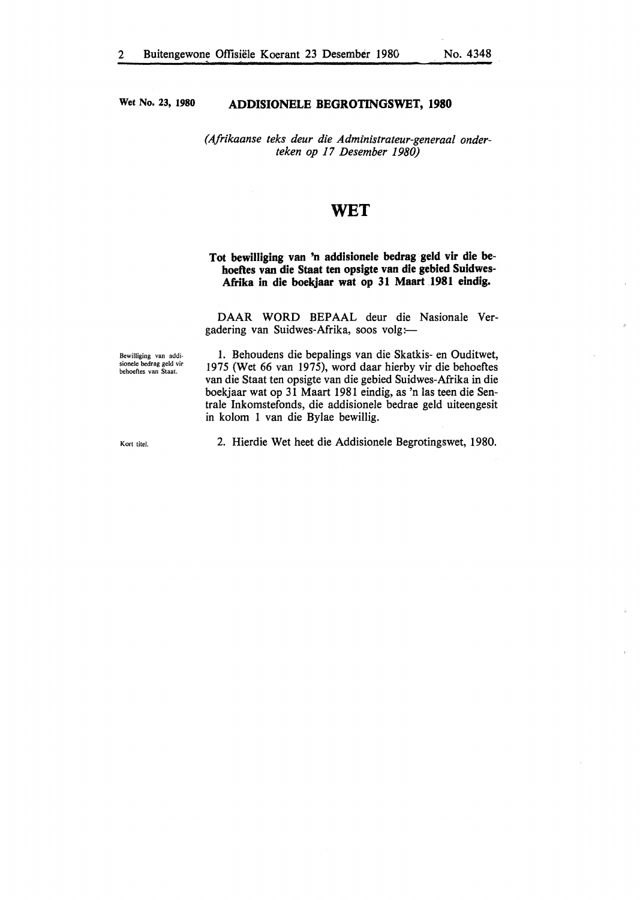**Wet No. 23, 1980** 

#### **ADDISIONELE BEGROTINGSWET, 1980**

*(Afrikaanse teks deur die Administrateur-generaal onderteken op 17 Desember 1980)* 

# **WET**

# **Tot bewilliging van 'n addisionele bedrag geld vir die behoeftes van die Staat ten opsigte van die gebied Suidwes-Afrika in die boekjaar wat op 31 Maart 1981 eindig.**

DAAR WORD BEPAAL deur die Nasionale Vergadering van Suidwes-Afrika, soos volg:

Bewilliging van addi-sionele bedrag geld vir behoeftes van Staat.

1. Behoudens die bepalings van die Skatkis- en Ouditwet, 1975 (Wet 66 van 1975), word daar hierby vir die behoeftes van die Staat ten opsigte van die gebied Suidwes-Afrika in die boekjaar wat op 31 Maart 1981 eindig, as 'n las teen die Sentrale Inkomstefonds, die addisionele bedrae geld uiteengesit in kolom 1 van die Bylae bewillig.

Kort titel.

2. Hierdie Wet heet die Addisionele Begrotingswet, 1980.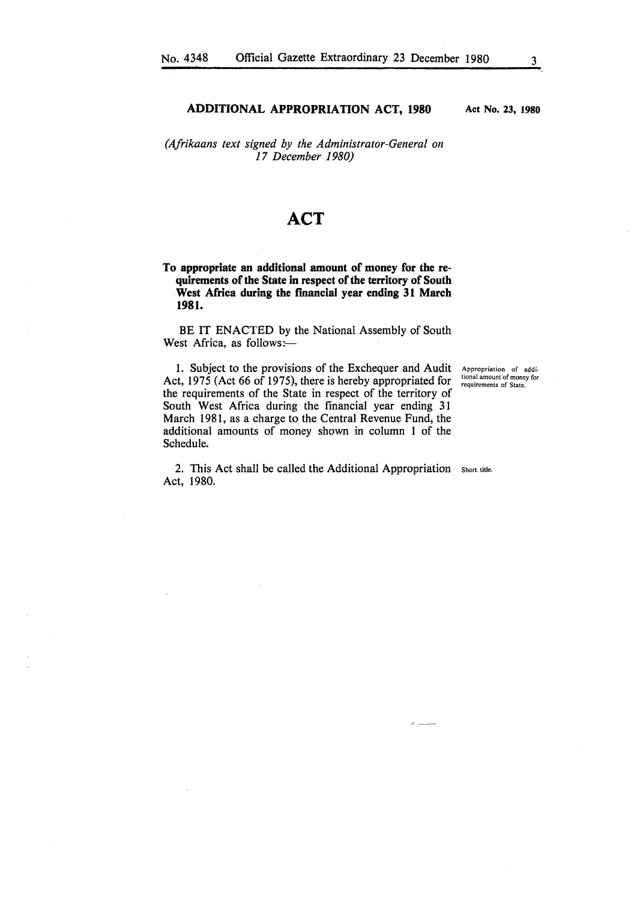#### **ADDITIONAL APPROPRIATION ACT, 1980**

*(Afrikaans text signed by the Administrator-General on 17 December 1980)* 

# **ACT**

**To appropriate an additional amount of money for the requirements of the State in respect of the territory of South West Africa during the financial year ending 31 March 1981.** 

BE IT ENACTED by the National Assembly of South West Africa, as follows:-

1. Subject to the provisions of the Exchequer and Audit Act, 1975 (Act 66 of 1975), there is hereby appropriated for the requirements of the State in respect of the territory of South West Africa during the financial year ending 31 March 1981, as a charge to the Central Revenue Fund, the additional amounts of money shown in column 1 of the Schedule.

Appropriation of addi**tional amount of money for**  requirements of State.

2. This Act shall be called the Additional Appropriation Short title. Act, 1980.

**Act No. 23, 1980**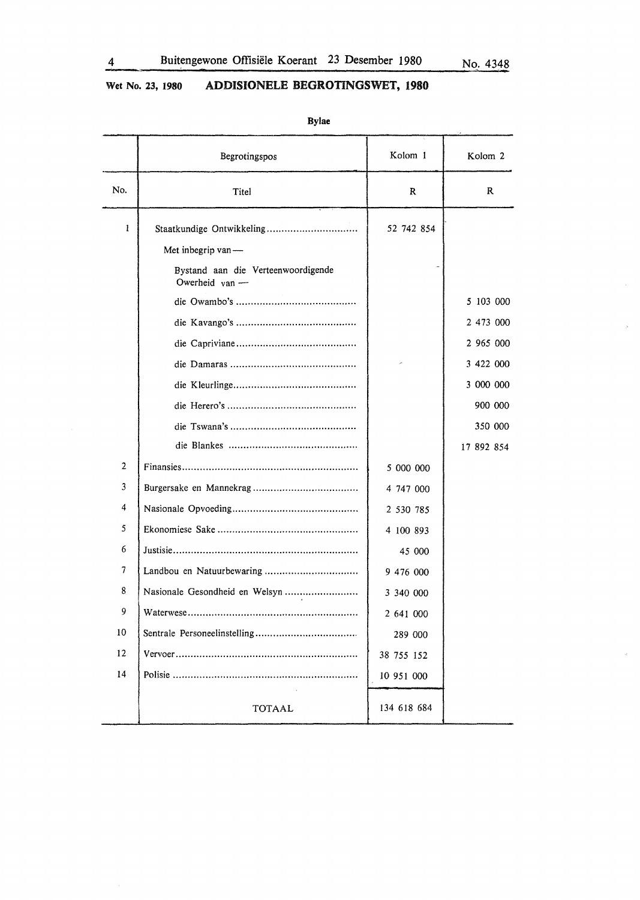$\bar{S}^{\pm}$ 

 $\omega$ 

# **Wet No. 23, 1980 ADDISIONELE BEGROTINGSWET, 1980**

|     | 22 J SEEL                                                    |             |                    |
|-----|--------------------------------------------------------------|-------------|--------------------|
|     | Begrotingspos                                                | Kolom 1     | Kolom <sub>2</sub> |
| No. | Titel                                                        | R           | $\mathbf R$        |
| 1   | Staatkundige Ontwikkeling                                    | 52 742 854  |                    |
|     | Met inbegrip van-                                            |             |                    |
|     | Bystand aan die Verteenwoordigende<br>Owerheid $\gamma$ an — |             |                    |
|     |                                                              |             | 5 103 000          |
|     |                                                              |             | 2 473 000          |
|     |                                                              |             | 2 965 000          |
|     |                                                              |             | 3 422 000          |
|     |                                                              |             | 3 000 000          |
|     |                                                              |             | 900 000            |
|     |                                                              |             | 350 000            |
|     |                                                              |             | 17 892 854         |
| 2   |                                                              | 5 000 000   |                    |
| 3   |                                                              | 4 747 000   |                    |
| 4   |                                                              | 2 530 785   |                    |
| 5   |                                                              | 4 100 893   |                    |
| 6   |                                                              | 45 000      |                    |
| 7   |                                                              | 9 476 000   |                    |
| 8   | Nasionale Gesondheid en Welsyn                               | 3 340 000   |                    |
| 9   |                                                              | 2 641 000   |                    |
| 10  |                                                              | 289 000     |                    |
| 12  |                                                              | 38 755 152  |                    |
| 14  |                                                              | 10 951 000  |                    |
|     | <b>TOTAAL</b>                                                | 134 618 684 |                    |

**Bylae**